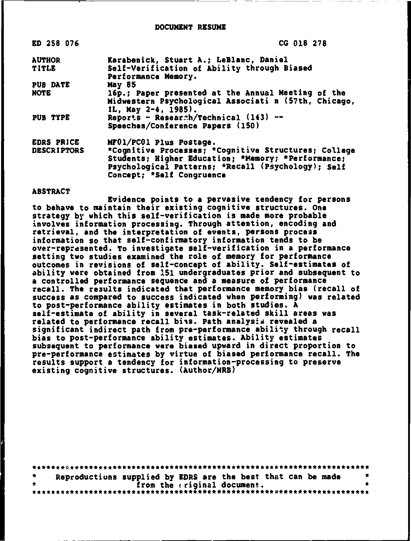| ED 258 076         | <b>CG 018 278</b>                                                                                                                                                                             |
|--------------------|-----------------------------------------------------------------------------------------------------------------------------------------------------------------------------------------------|
| <b>AUTHOR</b>      | Karabenick, Stuart A.; LeBlanc, Daniel                                                                                                                                                        |
| <b>TITLE</b>       | Self-Verification of Ability through Biased<br>Performance Memory.                                                                                                                            |
| <b>PUB DATE</b>    | May 85                                                                                                                                                                                        |
| <b>NOTE</b>        | 16p.; Paper presented at the Annual Meeting of the<br>Midwestern Psychological Associati n (57th, Chicago,<br>IL, May $2-4$ , 1985).                                                          |
| PUB TYPE           | Reports - Researah/Technical $(143)$ --<br>Speeches/Conference Papers (150)                                                                                                                   |
| <b>EDRS PRICE</b>  | MF01/PC01 Plus Postage.                                                                                                                                                                       |
| <b>DESCRIPTORS</b> | *Cognitive Processes; *Cognitive Structures; College<br>Students; Higher Education; *Memory; *Performance;<br>Psychological Patterns; *Recall (Psychology); Self<br>Concept; *Self Congruence |

#### **ABSTRACT**

Evidence points to a pervasive tendency for persons to behave to maintain their existing cognitive structures. One strategy by which this self-verification is made more probable involves information processing. Through attention, encoding and retrieval, and the interpretation of events, persons process information so that self-confirmatory information tends to be over-represented. To investigate self-verification in a performance setting two studies examined the role of memory for performance outcomes in revisions of self-concept of ability. Self-estimates of ability were obtained from 151 undergraduates prior and subsequent to a controlled performance sequence and a measure of performance recall. The results indicated that performance memory bias (recall of success as compared to success indicated when performing) was related to post-performance ability estimates in both studies. A self-estimate of ability in several task-related skill areas was related to performance recall bias. Path analysis revealed a significant indirect path from pre-performance ability through recall bias to post-performance ability estimates. Ability estimates subsequent to performance were biased upward in direct proportion to pre-performance estimates by virtue of biased performance recall. The results support a tendency for information-processing to preserve existing cognitive structures. (Author/NRB)

| ₩.      |  |                             | Reproductions supplied by EDRS are the best that can be made | $\bullet$ |
|---------|--|-----------------------------|--------------------------------------------------------------|-----------|
| $\star$ |  | from the criginal document. |                                                              |           |
|         |  |                             |                                                              |           |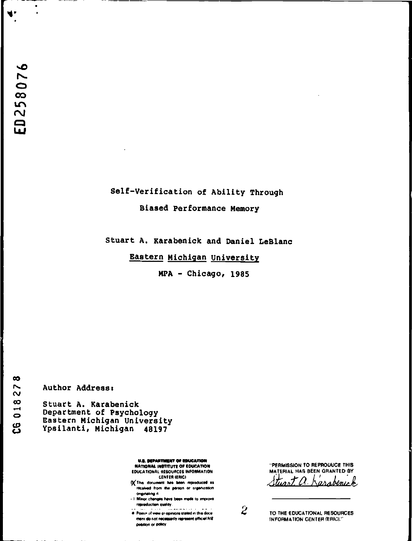$\bullet$ 

w.

## Self-Verification of Ability Through Biased Performance Memory

Stuart A. Karabenick and Daniel LeBlanc

Eastern Michigan University

MPA - Chicago, 1985

 $\infty$ CG 01827

Author Address:

Stuart A. Karabenick Department of Psychology Eastern Michigan University Ypsilanti, Michigan 48197

> U.S. DEPARTMENT OF EDUCATION NATIONAL INSTITUTE OF EDUCATION EDUCATIONAL RESOURCES INFORMATION **CENTER (ERICI**

- Of This document has been reproduced as received from the person or organization onginating it.
- I Minor changes have been made to improve reproduction quality.

ment do not necessarily represent official NIE position or policy

"PERMISSION TO REPRODUCE THIS MATERIAL HAS BEEN GRANTED BY Stuart a. Karabenuck

 $\boldsymbol{z}$ 

TO THE EDUCATIONAL RESOURCES **INFORMATION CENTER (ERIC)."**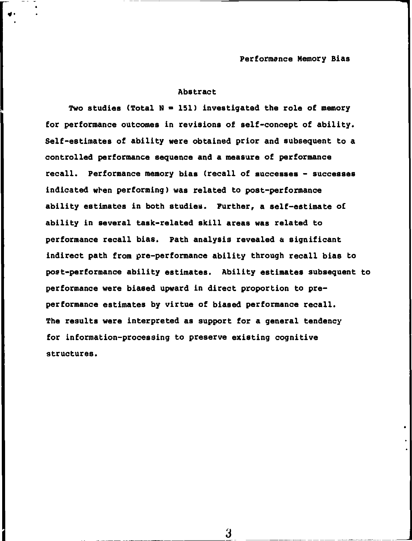#### **Abstract**

¥•

Two studies (Total  $N = 151$ ) investigated the role of memory **for performance outcomes in revisions of self-concept of ability. Self-estimates of ability were obtained prior and subsequent to a controlled performance sequence and a measure of performance recall. Performance memory bias (recall of successes - successes indicated when performing) was related to post-performance ability estimates in both studies. Further, a self-estimate o£ ability in several task-related skill areas was related to performance recall bias. Path analysis revealed a significant indirect path from pre-performance ability through recall bias to post-performance ability estimates. Ability estimates subsequent to performance were biased upward in direct proportion to preperformance estimates by virtue of biased performance recall. The results were interpreted as support for a general tendency for information-processing to preserve existing cognitive structures.**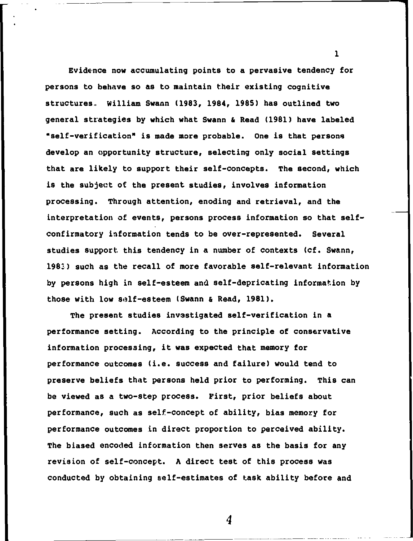**Evidence now accumulating points to a pervasive tendency for persons to behave so as to maintain their existing cognitive structures.. William Swann (1983, 1984, 1985) has outlined two general strategies by which what Swann & Read (1981) have labeled "self-verification" is made more probable. One is that persons develop an opportunity structure, selecting only social settings that are likely to support their self-concepts. The second, which is the subject of the present studies, involves information processing. Through attention, enoding and retrieval, and the interpretation of events, persons process information so that selfconfirmatory information tends to be over-represented. Several studies support this tendency in a number of contexts (cf. Swann, 1983) such as the recall of more favorable self-relevant information by persons high in self-esteem and self-depricating information by those with low self-esteem (Swann & Read, 1981).** 

**The present studies investigated self-verification in a performance setting. According to the principle of conservative information processing, it was expected that memory for performance outcomes (i.e. success and failure) would tend to preserve beliefs that persons held prior to performing. This can be viewed as a two-step process. First, prior beliefs about performance, such as self-concept of ability, bias memory for performance outcomes in direct proportion to perceived ability. The biased encoded information then serves as the basis for any revision of self-concept. A direct test of this process was conducted by obtaining self-estimates of task ability before and** 

**1**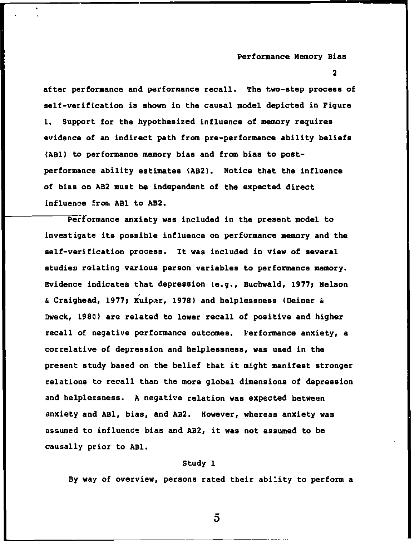**2** 

**after performance and performance recall. The two-step process of self-verification is shown in the causal model depicted in Figure 1. Support for the hypothesized influence of memory requires evidence of an indirect path from pre-performance ability beliefs (ABl) to performance memory bias and from bias to postperformance ability estimates (AB2). Notice that the influence of bias on AB2 must be independent of the expected direct influence front ABl to AB2,** 

**Performance anxiety was included in the present model to investigate its possible influence on performance memory and the self-verification process. It was included in view of several studies relating various person variables to performance memory. Evidence indicates that depression (e.g., Buchwald, 1977; Nelson**   $\epsilon$  Craighead, 1977; Kuipar, 1978) and helplessness (Deiner & **Dweck, 1980) are related to lower recall of positive and higher recall of negative performance outcomes. Performance anxiety, a correlative of depression and helplessness, was used in the present study based on the belief that it might manifest stronger relations to recall than the more global dimensions of depression and helplessness. A negative relation was expected between anxiety and ABl, bias, and AB2. However, whereas anxiety was assumed to influence bias and AB2, it was not assumed to be causally prior to ABl.** 

#### **Study 1**

**By way of overview, persons rated their ability to perform a** 

 $5\overline{)}$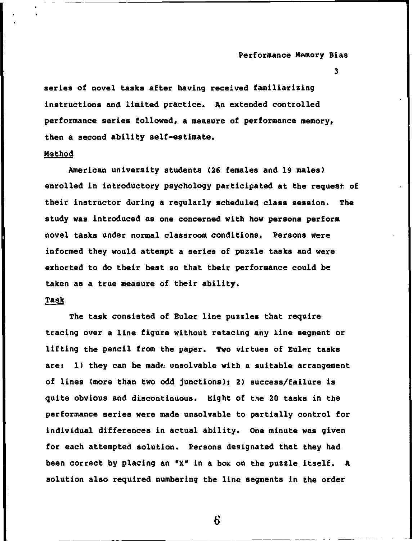**3** 

series of novel tasks after having received familiarizing **instructions and limited practice. An extended controlled performance series followed, a measure of performance memory, then a second ability self-estimate.** 

#### **Method**

**American university students (26 females and 19 males) enrolled in introductory psychology participated at the request of their instructor daring a regularly scheduled class session. The study was introduced as one concerned with how persons perform novel tasks under normal classroom conditions. Persons were informed they would attempt a series of puzzle tasks and were exhorted to do their best so that their performance could be taken as a true measure of their ability.** 

#### **Task**

**The task consisted of Euler line puzzles that require tracing over a line figure without retacing any line segment or lifting the pencil from the paper. Two virtues of Euler tasks are: 1) they can be madf; unsolvable with a suitable arrangement of lines (more than two odd junctions); 2) success/failure is quite obvious and discontinuous. Eight of the 20 tasks in the performance series were made unsolvable to partially control for individual differences in actual ability. One minute was given for each attempted solution. Persons designated that they had been correct by placing an "X" in a box on the puzzle itself. A solution also required numbering the line segments in the order**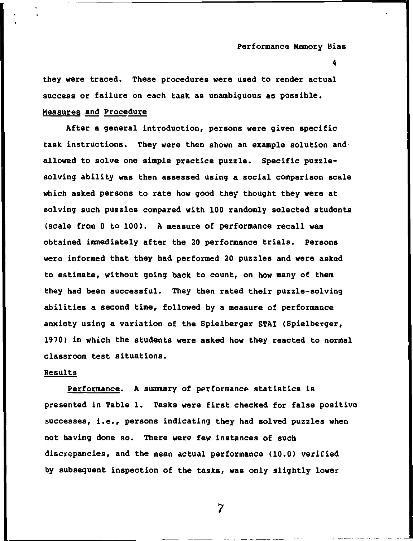**4** 

**they were traced. These procedures were used to render actual success or failure on each task as unambiguous as possible. Measures and Procedure** 

**After a general introduction, persons were given specific task instructions. They were then shown an example solution and allowed to solve one simple practice puzzle. Specific puzzlesolving ability was then assessed using a social comparison scale which asked persons to rate how good they thought they were at solving such puzzles compared with 100 randomly selected students (scale from 0 to 100). A measure of performance recall was obtained immediately after the 20 performance trials. Persons were informed that they had performed 20 puzzles and were asked to estimate, without going back to count, on how many of them they had been successful. They then rated their puzzle-solving abilities a second time, followed by a measure of performance anxiety using a variation of the Spielberger STAI (Spielberger, 1970) in which the students were asked how they reacted to normal classroom test situations.** 

#### **Results**

**Performance. A summary of performance statistics is presented in Table 1. Tasks were first checked for false positive successes, i.e., persons indicating they had solved puzzles when not having done so. There were few instances of such discrepancies, and the mean actual performance (10.0) verified by subsequent inspection of the tasks, was only slightly lower**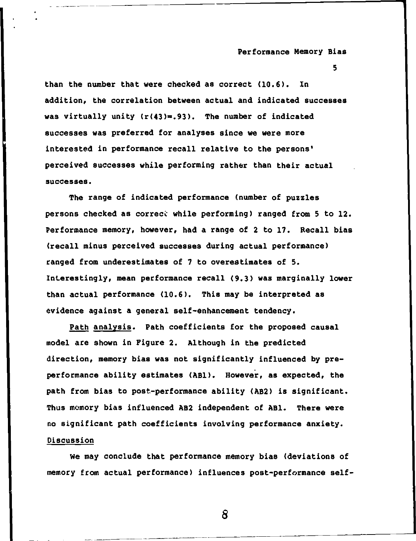**5** 

**than the number that were checked as correct (10.6). In addition, the correlation between actual and indicated successes**  was virtually unity (r(43)=.93). The number of indicated **successes was preferred for analyses since we were more interested in performance recall relative to the persons' perceived successes while performing rather than their actual successes.** 

**The range of indicated performance (number of puzzles persons checked as correcc while performing) ranged from 5 to 12. Performance memory, however, had a range of 2 to 17. Recall bias (recall minus perceived successes during actual performance) ranged from underestimates of 7 to overestimates of 5. Interestingly, mean performance recall (9.3) was marginally lower than actual performance (10.6). This may be interpreted as evidence against a general self-enhancement tendency.** 

**Path analysis. Path coefficients for the proposed causal model are shown in Figure 2. Although in the predicted direction, memory bias was not significantly influenced by preperformance ability estimates (ABl). However, as expected, the path from bias to post-performance ability (AB2) is significant. Thus memory bias influenced AB2 independent of ABl. There were no significant path coefficients involving performance anxiety. Discussion** 

**We may conclude that performance memory bias (deviations of memory from actual performance) influences post-performance self-**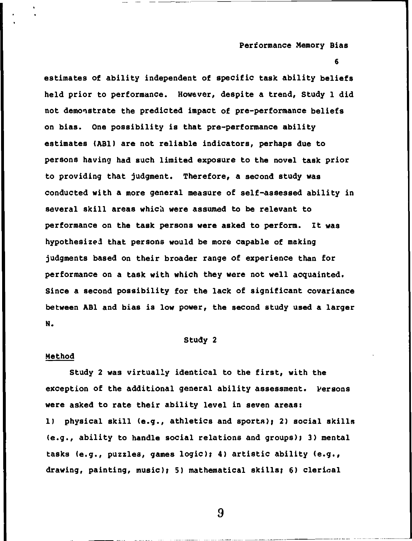**6** 

**estimates of ability independent of specific task ability beliefs held prior to performance. However, despite a trend, Study 1 did not demonstrate the predicted impact of pre-performance beliefs on bias. One possibility is that pre-performance ability estimates (ABl) are not reliable indicators, perhaps due to persons having had such limited exposure to the novel task prior to providing that judgment. Therefore, a second study was conducted with a more general measure of self-assessed ability in several skill areas which were assumed to be relevant to performance on the task persons were asked to perform. It was hypothesized that persons would be more capable of making judgments based on their broader range of experience than for performance on a task with which they were not well acquainted. Since a second possibility for the lack of significant covariance between ABl and bias is low power, the second study used a larger N.** 

#### **Study 2**

#### **Method**

**Study 2 was virtually identical to the first, with the exception of the additional general ability assessment. Persons were asked to rate their ability level in seven areas: 1) physical skill (e.g., athletics and sports); 2) social skills (e.g., ability to handle social relations and groups); 3) mental tasks (e.g., puzzles, games logic); 4) artistic ability (e.g., drawing, painting, music); 5) mathematical skills; 6) clerical**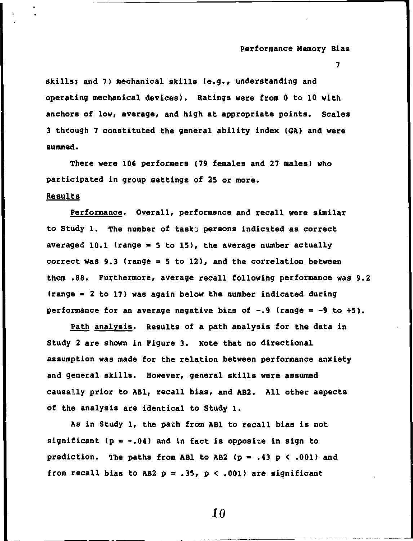**7** 

**skills; and 7) mechanical skills (e.g., understanding and operating mechanical devices). Ratings were from 0 to 10 with anchors of low, average, and high at appropriate points. Scales 3 through 7 constituted the general ability index (6A) and were summed.** 

**There were 106 performers (79 females and 27 males) who participated in group settings of 25 or more.** 

#### **Results**

**Performance. Overall, performance and recall were similar to Study 1. The number of taska persons indicated as correct averaged 10.1 (range » 5 to 15), the average number actually correct was 9.3 (range = 5 to 12), and the correlation between them .88. Furthermore, average recall following performance was 9.2 (range » 2 to 17) was again below the number indicated during**  performance for an average negative bias of  $-,9$  (range  $= -9$  to  $+5$ ).

**Path analysis. Results of a path analysis for the data in Study 2 are shown in Figure 3. Note that no directional assumption was made for the relation between performance anxiety and general skills. However, general skills were assumed causally prior to ABl, recall bias, and AB2. All other aspects of the analysis are identical to Study 1.** 

As in Study 1, the path from AB1 to recall bias is not **significant (p = -.04) and in fact is opposite in sign to**  prediction. The paths from AB1 to AB2  $(p = .43 p < .001)$  and from recall bias to AB2  $p = .35$ ,  $p < .001$ ) are significant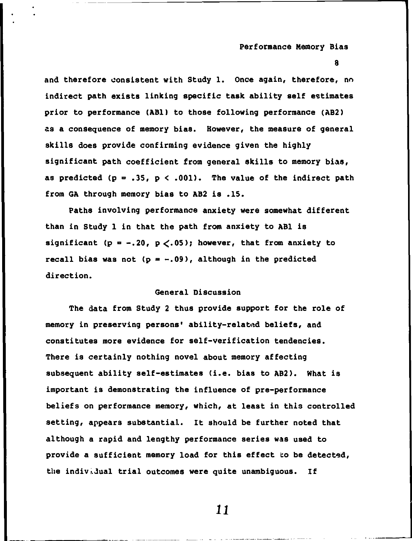**8** 

**and therefore consistent with Study 1. Once again, therefore, no indirect path exists linking specific task ability self estimates prior to performance (ABl) to those following performance (AB2) as a consequence of memory bias. However, the measure of general skills does provide confirming evidence given the highly significant path coefficient from general skills to memory bias,**  as predicted  $(p = .35, p < .001)$ . The value of the indirect path **from GA through memory bias to AB2 is .15.** 

**Paths involving performance anxiety were somewhat different than in Study 1 in that the path from anxiety to ABl is**  significant ( $p = -.20$ ,  $p < .05$ ); however, that from anxiety to recall bias was not  $(p = -.09)$ , although in the predicted **direction.** 

#### **General Discussion**

**The data from Study 2 thus provide support for the role of memory in preserving persons' ability-relatt^d beliefs, and constitutes more evidence for self-verification tendencies. There is certainly nothing novel about memory affecting subsequent ability self-estimates (i.e. bias to AB2). What is important is demonstrating the influence of pre-performance beliefs on performance memory, which, at least in this controlled setting, appears substantial. It should be further noted that although a rapid and lengthy performance series was used to provide a sufficient memory load for this effect to be detected, tile individual trial outcomes were quite unambiguous. If**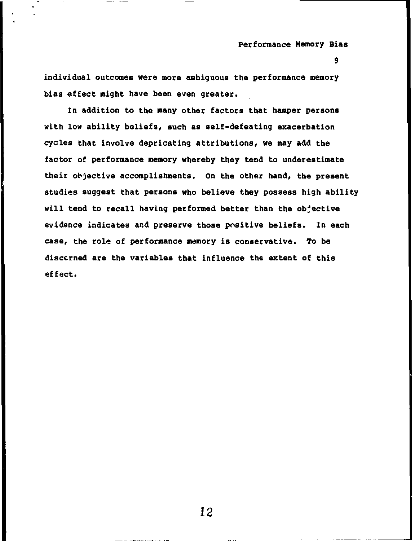**9** 

**individual outcomes were more eunbiguous the performance memory bias effect might have been even greater.** 

**In addition to the many other factors that hamper persons with low ability beliefs, such as self-defeating exacerbation cycles that involve depricating attributions, we may add the factor of performance memory whereby they tend to underestimate their objective accomplishments. On the other hand, the present studies suggest that persons who believe they possess high ability will tend to recall having performed better than the objective evidence indicates and preserve those positive beliefs. In each case, the role of performance memory is conservative. To be discerned are the variables that influence the extent of this effect.**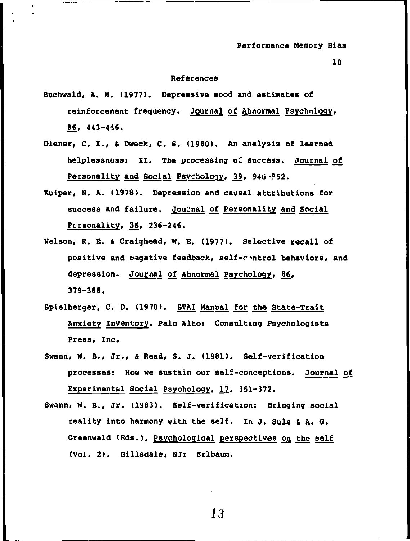#### **10**

#### **References**

- **Buchwald, A. N. (1977). Depressive mood and estimates of reinforcement frequency, journal of Abnormal Psychology, 86, 443-4^6.**
- **Diener, C. I., & Dweck, C. S. (1980). An analysis of learned helplessnfjss: II. The processing** *oC* **success. Journal of Personality and Social Psychology, 39, 940-952.**
- **Kulper, N. A. (1978). Depression and causal attributions for success and failure. Journal of Personality and Social P£;rsonallty, 36, 236-246.**
- **Nelson, R. E. & Craighead, W. E. (1977). Selective recall of positive and negative feedback, self-r^ntrol behaviors, and depression. Journal of Abnormal Psychology, 86, 379-388.**
- **Spielberger, C. D. (1970). STAI Manual for the State-Trait Anxiety Inventory. Palo Altoj Consulting Psychologists Press, Inc.**
- Swann, W. B., Jr., & Read, S. J. (1981). Self-verification **processes: How we sustain our self-conceptions. Journal of Experimental Social Psychology, 17, 351-372.**
- Swann, W. B., Jr. (1983). Self-verification: Bringing social **reality Into harmony with the self. In J. Suls & A. 6. Greenwald (Eds.), Psychological perspectives on the self (Vol. 2). Hillsdale, NJ: Erlbaum.**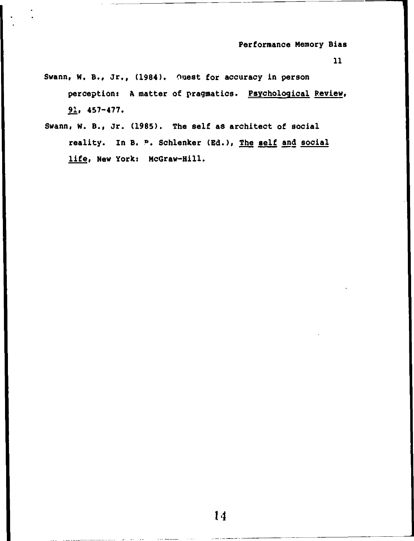- **Svann, W. B., Jr., (1984). Ouest for accuracy in person perception; A matter of pragmatics. Psychological Review, 91, 457-477.**
- **Swann, W. B., Jr. (1985). The self as architect of social reality. In B. »>. Schlenker (Ed.), The self and social life. New York: McGraw-Hill.**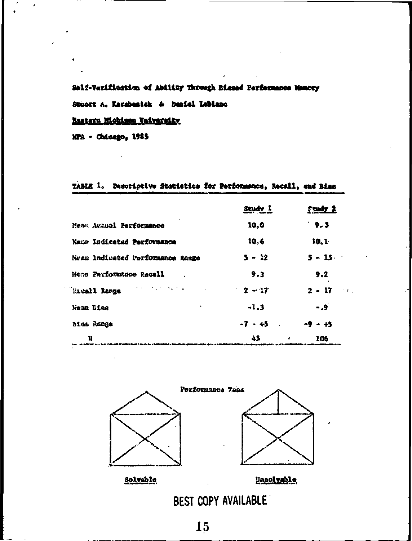## Salf-Varification of Ability Through Biesad Performance Namory

Stuert A. Karabenick & Deniel Leblanc

### Rastern Michigan University

MPA - Chicago, 1985

## TABLE 1. Descriptive Statistics for Performance, Recall, and Bias

|                                  | Study 1   | <u>Frudy 2</u>                          |
|----------------------------------|-----------|-----------------------------------------|
| Mean Achual Performance          | 10.0      | 3ء -                                    |
| Maun Indicated Performance       | 10.6      | 10.1                                    |
| Nean Indicated Parformance Range | $5 - 12$  | $5 - 15$                                |
| Menn Parformance Recall          | 9.3       | 9.2                                     |
| Racall Ronge                     | $2 - 17$  | $2 - 17$<br>$\rightarrow$ $\rightarrow$ |
| ۰.<br>Mean Lies                  | $-1.3$    | $-9$                                    |
| <b>Bias Range</b>                | $-7 - 45$ | $-9 - +5$                               |
| H                                | 45        | 106                                     |



BEST COPY AVAILABLE